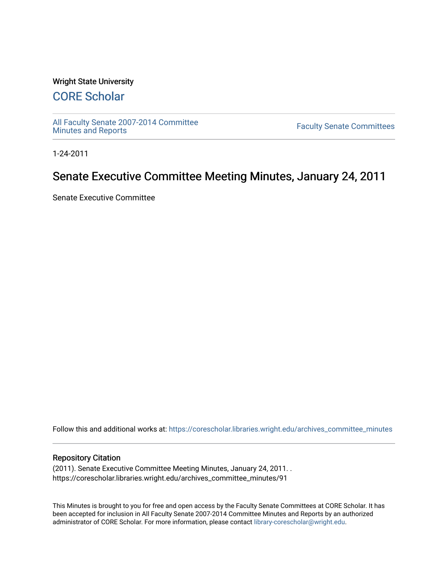# Wright State University

# [CORE Scholar](https://corescholar.libraries.wright.edu/)

[All Faculty Senate 2007-2014 Committee](https://corescholar.libraries.wright.edu/archives_committee_minutes)

**Faculty Senate Committees** 

1-24-2011

# Senate Executive Committee Meeting Minutes, January 24, 2011

Senate Executive Committee

Follow this and additional works at: [https://corescholar.libraries.wright.edu/archives\\_committee\\_minutes](https://corescholar.libraries.wright.edu/archives_committee_minutes?utm_source=corescholar.libraries.wright.edu%2Farchives_committee_minutes%2F91&utm_medium=PDF&utm_campaign=PDFCoverPages) 

#### Repository Citation

(2011). Senate Executive Committee Meeting Minutes, January 24, 2011. . https://corescholar.libraries.wright.edu/archives\_committee\_minutes/91

This Minutes is brought to you for free and open access by the Faculty Senate Committees at CORE Scholar. It has been accepted for inclusion in All Faculty Senate 2007-2014 Committee Minutes and Reports by an authorized administrator of CORE Scholar. For more information, please contact [library-corescholar@wright.edu.](mailto:library-corescholar@wright.edu)